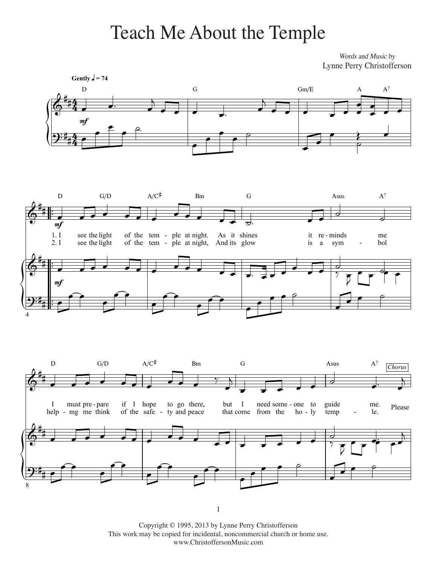## Teach Me About the Temple

Words and Music by Lynne Perry Christofferson



Copyright © 1995, 2013 by Lynne Perry Christofferson This work may be copied for incidental, noncommercial church or home use. www.ChristoffersonMusic.com

 $1$ 

1